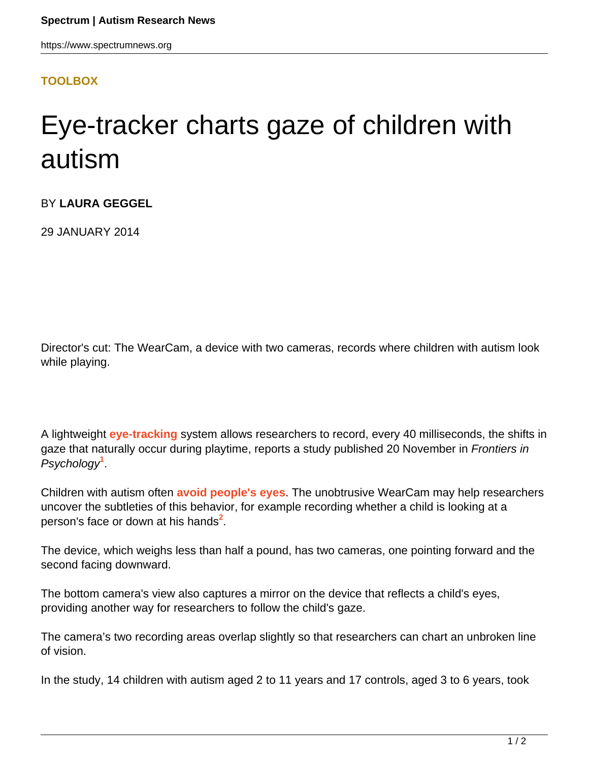## **[TOOLBOX](HTTPS://WWW.SPECTRUMNEWS.ORG/NEWS/TOOLBOX/)**

## Eye-tracker charts gaze of children with autism

BY **LAURA GEGGEL**

29 JANUARY 2014

Director's cut: The WearCam, a device with two cameras, records where children with autism look while playing.

A lightweight **[eye-tracking](https://www.spectrumnews.org/wiki/eye-tracking)** system allows researchers to record, every 40 milliseconds, the shifts in gaze that naturally occur during playtime, reports a study published 20 November in Frontiers in Psychology**<sup>1</sup>** .

Children with autism often **[avoid people's eyes](https://www.spectrumnews.org/in-brief/2013/cognition-and-behavior-children-with-autism-avoid-eyes)**. The unobtrusive WearCam may help researchers uncover the subtleties of this behavior, for example recording whether a child is looking at a person's face or down at his hands**<sup>2</sup>** .

The device, which weighs less than half a pound, has two cameras, one pointing forward and the second facing downward.

The bottom camera's view also captures a mirror on the device that reflects a child's eyes, providing another way for researchers to follow the child's gaze.

The camera's two recording areas overlap slightly so that researchers can chart an unbroken line of vision.

In the study, 14 children with autism aged 2 to 11 years and 17 controls, aged 3 to 6 years, took